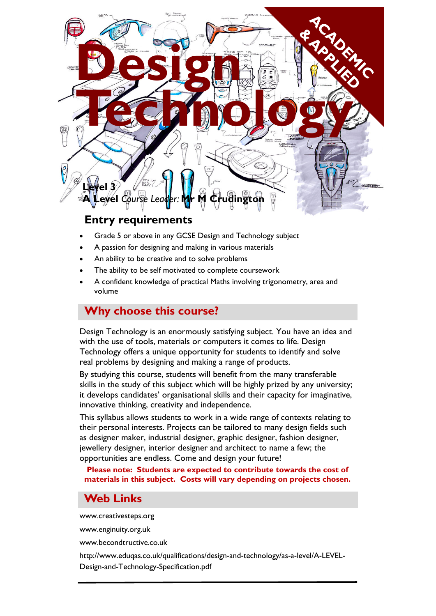

## **Entry requirements**

- Grade 5 or above in any GCSE Design and Technology subject
- A passion for designing and making in various materials
- An ability to be creative and to solve problems
- The ability to be self motivated to complete coursework
- A confident knowledge of practical Maths involving trigonometry, area and volume

# **Why choose this course?**

Design Technology is an enormously satisfying subject. You have an idea and with the use of tools, materials or computers it comes to life. Design Technology offers a unique opportunity for students to identify and solve real problems by designing and making a range of products.

By studying this course, students will benefit from the many transferable skills in the study of this subject which will be highly prized by any university; it develops candidates' organisational skills and their capacity for imaginative, innovative thinking, creativity and independence.

This syllabus allows students to work in a wide range of contexts relating to their personal interests. Projects can be tailored to many design fields such as designer maker, industrial designer, graphic designer, fashion designer, jewellery designer, interior designer and architect to name a few; the opportunities are endless. Come and design your future!

#### **Please note: Students are expected to contribute towards the cost of materials in this subject. Costs will vary depending on projects chosen.**

# **Web Links**

www.creativesteps.org

www.enginuity.org.uk

www.becondtructive.co.uk

http://www.eduqas.co.uk/qualifications/design-and-technology/as-a-level/A-LEVEL-Design-and-Technology-Specification.pdf